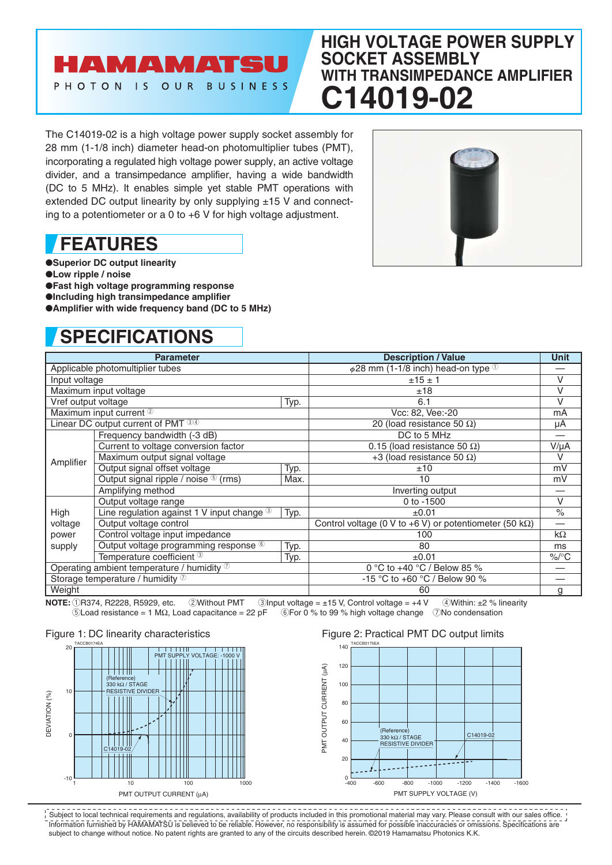### AMAMATSU PHOTON IS OUR BUSINESS

### **HIGH VOLTAGE POWER SUPPLY SOCKET ASSEMBLY WITH TRANSIMPEDANCE AMPLIFIER C14019-02**

The C14019-02 is a high voltage power supply socket assembly for 28 mm (1-1/8 inch) diameter head-on photomultiplier tubes (PMT), incorporating a regulated high voltage power supply, an active voltage divider, and a transimpedance amplifier, having a wide bandwidth (DC to 5 MHz). It enables simple yet stable PMT operations with extended DC output linearity by only supplying  $\pm 15$  V and connecting to a potentiometer or a 0 to +6 V for high voltage adjustment.

## **FEATURES**

●**Superior DC output linearity**

●**Low ripple / noise**

●**Fast high voltage programming response**

●**Including high transimpedance amplifier**

 $\bullet$ **Amplifier with wide frequency band (DC to 5 MHz)** 

# **SPECIFICATIONS**



| <b>Parameter</b>                           |                                                        |                                   | <b>Description / Value</b>                                      | Unit                 |
|--------------------------------------------|--------------------------------------------------------|-----------------------------------|-----------------------------------------------------------------|----------------------|
| Applicable photomultiplier tubes           |                                                        |                                   | $\phi$ 28 mm (1-1/8 inch) head-on type $\mathbb O$              |                      |
| Input voltage                              |                                                        |                                   | ±15±1                                                           | $\vee$               |
| Maximum input voltage                      |                                                        | ±18                               | $\vee$                                                          |                      |
| Vref output voltage                        |                                                        | Typ.                              | 6.1                                                             | V                    |
| Maximum input current <sup>2</sup>         |                                                        | Vcc: 82, Vee:-20                  | mA                                                              |                      |
| Linear DC output current of PMT 34         |                                                        | 20 (load resistance 50 $\Omega$ ) | μA                                                              |                      |
| Amplifier                                  | Frequency bandwidth (-3 dB)                            |                                   | DC to 5 MHz                                                     |                      |
|                                            | Current to voltage conversion factor                   |                                   | 0.15 (load resistance 50 $\Omega$ )                             | $V/\mu A$            |
|                                            | Maximum output signal voltage                          |                                   | +3 (load resistance 50 $\Omega$ )                               | $\vee$               |
|                                            | Output signal offset voltage                           | Typ.                              | ±10                                                             | mV                   |
|                                            | Output signal ripple / noise <sup>5</sup> (rms)        | Max.                              | 10                                                              | mV                   |
|                                            | Amplifying method                                      |                                   | Inverting output                                                |                      |
|                                            | Output voltage range                                   |                                   | 0 to -1500                                                      | $\vee$               |
| High                                       | Line regulation against 1 V input change $\circled{3}$ | Typ.                              | ±0.01                                                           | $\frac{1}{\sqrt{2}}$ |
| voltage                                    | Output voltage control                                 |                                   | Control voltage (0 V to +6 V) or potentiometer (50 k $\Omega$ ) |                      |
| power                                      | Control voltage input impedance                        |                                   | 100                                                             | $k\Omega$            |
| supply                                     | Output voltage programming response 6                  | Typ.                              | 80                                                              | ms                   |
|                                            | Temperature coefficient 3                              | Typ.                              | $\pm 0.01$                                                      | $\%$ /°C             |
| Operating ambient temperature / humidity 7 |                                                        |                                   | 0 °C to +40 °C / Below 85 %                                     |                      |
| Storage temperature / humidity 7           |                                                        |                                   | -15 °C to +60 °C / Below 90 %                                   |                      |
| Weight                                     |                                                        |                                   | 60                                                              | g                    |

**NOTE:**  $\bigcirc$  R374, R2228, R5929, etc. ②Without PMT 3Input voltage = ±15 V, Control voltage = +4 V 4Within: ±2 % linearity<br> **SLoad resistance = 1 M**Ω, Load capacitance = 22 pF 6For 0 % to 99 % high voltage change 7No cond  $6$ For 0 % to 99 % high voltage change 7No condensation

#### Figure 1: DC linearity characteristics



#### Figure 2: Practical PMT DC output limits



Information furnished by HAMAMATSU is believed to be reliable. However, no responsibility is assumed for possible inaccuracies or omissions. Specifications are subject to change without notice. No patent rights are granted to any of the circuits described herein. ©2019 Hamamatsu Photonics K.K. Subject to local technical requirements and regulations, availability of products included in this promotional material may vary. Please consult with our sales office.